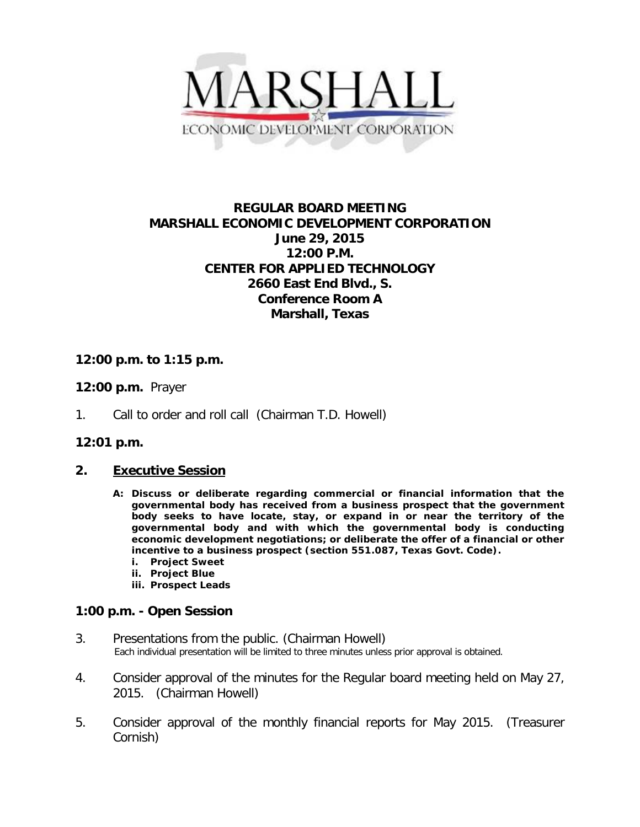

# **REGULAR BOARD MEETING MARSHALL ECONOMIC DEVELOPMENT CORPORATION June 29, 2015 12:00 P.M. CENTER FOR APPLIED TECHNOLOGY 2660 East End Blvd., S. Conference Room A Marshall, Texas**

## **12:00 p.m. to 1:15 p.m.**

### **12:00 p.m.** Prayer

1. Call to order and roll call (Chairman T.D. Howell)

#### **12:01 p.m.**

#### **2. Executive Session**

- **A: Discuss or deliberate regarding commercial or financial information that the governmental body has received from a business prospect that the government body seeks to have locate, stay, or expand in or near the territory of the governmental body and with which the governmental body is conducting economic development negotiations; or deliberate the offer of a financial or other incentive to a business prospect (section 551.087, Texas Govt. Code).**
	- **i. Project Sweet**
	- **ii. Project Blue**
	- **iii. Prospect Leads**

#### **1:00 p.m. - Open Session**

- 3. Presentations from the public. (Chairman Howell)<br>Each individual presentation will be limited to three minutes unless prior approval is obtained.
- 4. Consider approval of the minutes for the Regular board meeting held on May 27, 2015. (Chairman Howell)
- 5. Consider approval of the monthly financial reports for May 2015. (Treasurer Cornish)